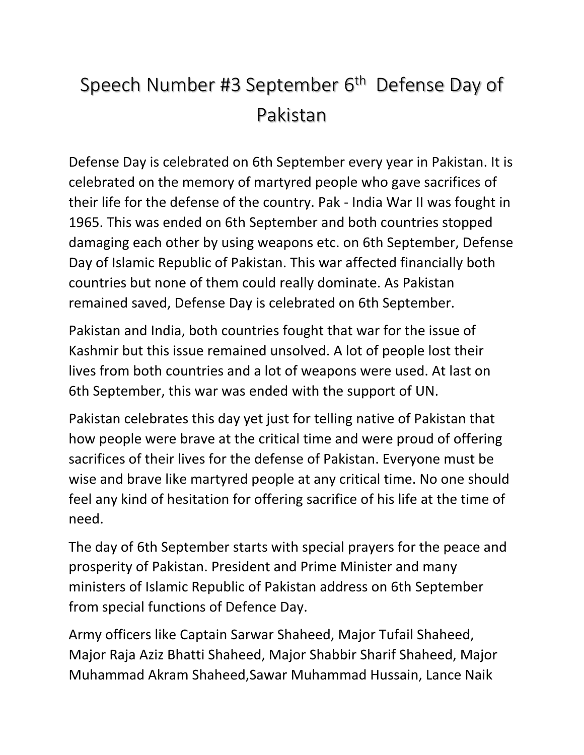## Speech Number #3 September 6<sup>th</sup> Defense Day of Pakistan

Defense Day is celebrated on 6th September every year in Pakistan. It is celebrated on the memory of martyred people who gave sacrifices of their life for the defense of the country. Pak - India War II was fought in 1965. This was ended on 6th September and both countries stopped damaging each other by using weapons etc. on 6th September, Defense Day of Islamic Republic of Pakistan. This war affected financially both countries but none of them could really dominate. As Pakistan remained saved, Defense Day is celebrated on 6th September.

Pakistan and India, both countries fought that war for the issue of Kashmir but this issue remained unsolved. A lot of people lost their lives from both countries and a lot of weapons were used. At last on 6th September, this war was ended with the support of UN.

Pakistan celebrates this day yet just for telling native of Pakistan that how people were brave at the critical time and were proud of offering sacrifices of their lives for the defense of Pakistan. Everyone must be wise and brave like martyred people at any critical time. No one should feel any kind of hesitation for offering sacrifice of his life at the time of need.

The day of 6th September starts with special prayers for the peace and prosperity of Pakistan. President and Prime Minister and many ministers of Islamic Republic of Pakistan address on 6th September from special functions of Defence Day.

Army officers like Captain Sarwar Shaheed, Major Tufail Shaheed, Major Raja Aziz Bhatti Shaheed, Major Shabbir Sharif Shaheed, Major Muhammad Akram Shaheed,Sawar Muhammad Hussain, Lance Naik